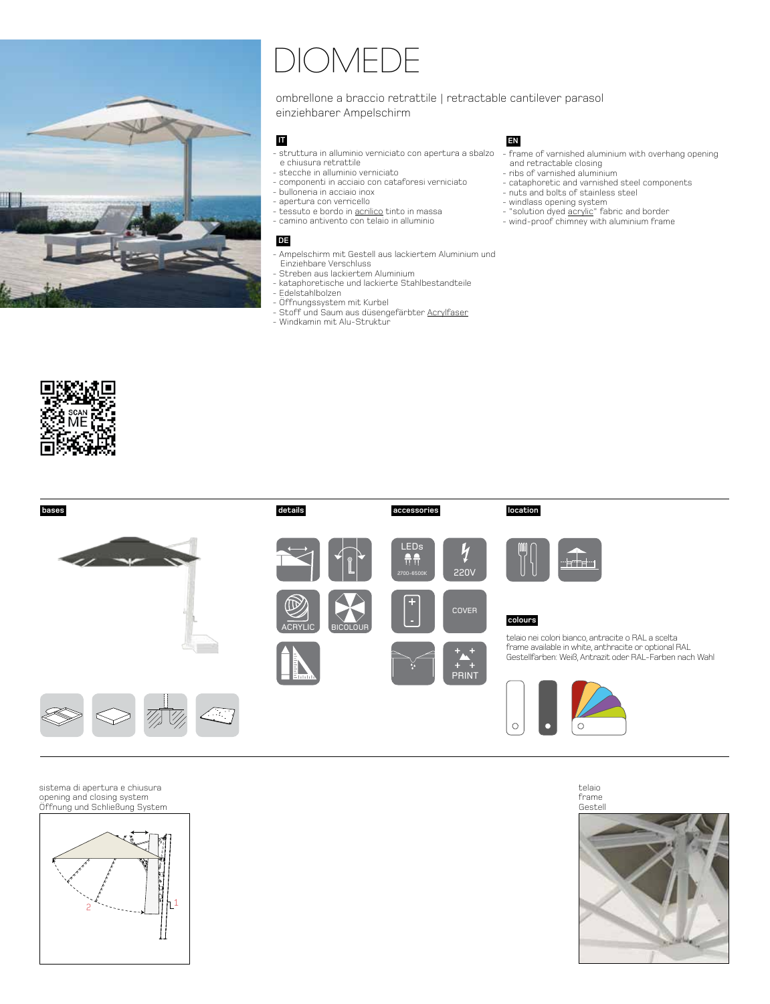

## DIOMEDE

ombrellone a braccio retrattile | retractable cantilever parasol einziehbarer Ampelschirm

## **IT**

- struttura in alluminio verniciato con apertura a sbalzo frame of varnished aluminium with overhang opening e chiusura retrattile
- stecche in alluminio verniciato
- componenti in acciaio con cataforesi verniciato
- bulloneria in acciaio inox
- apertura con verricello
- tessuto e bordo in acrilico tinto in massa - camino antivento con telaio in alluminio

## **DE**

- Ampelschirm mit Gestell aus lackiertem Aluminium und Einziehbare Verschluss
- Streben aus lackiertem Aluminium
- kataphoretische und lackierte Stahlbestandteile
- Edelstahlbolzen
- Öffnungssystem mit Kurbel
- Stoff und Saum aus düsengefärbter Acrylfaser
- Windkamin mit Alu-Struktur

## **EN**

- and retractable closing
- ribs of varnished aluminium
- cataphoretic and varnished steel components
- nuts and bolts of stainless steel
- windlass opening system
- "solution dyed <u>acrylic</u>" fabric and border - wind-proof chimney with aluminium frame





sistema di apertura e chiusura opening and closing system Offnung und Schließung System



telaio frame